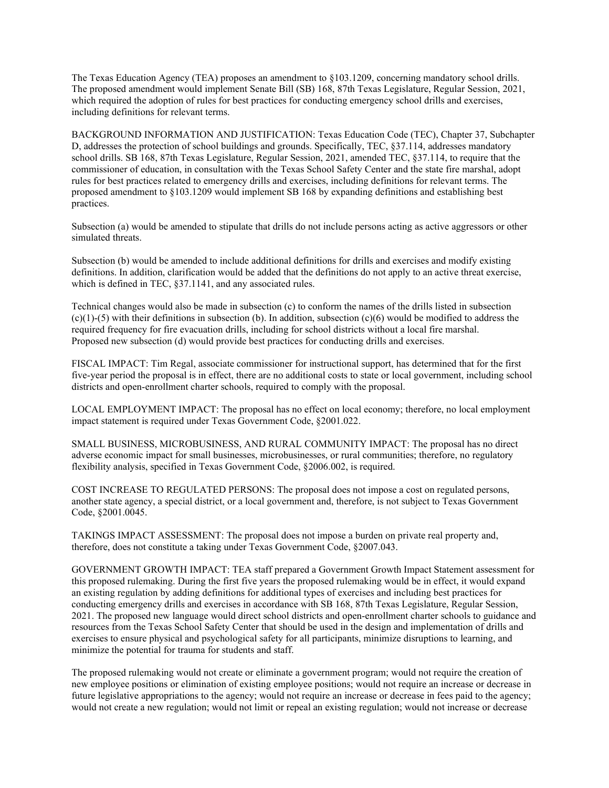The Texas Education Agency (TEA) proposes an amendment to §103.1209, concerning mandatory school drills. The proposed amendment would implement Senate Bill (SB) 168, 87th Texas Legislature, Regular Session, 2021, which required the adoption of rules for best practices for conducting emergency school drills and exercises, including definitions for relevant terms.

BACKGROUND INFORMATION AND JUSTIFICATION: Texas Education Code (TEC), Chapter 37, Subchapter D, addresses the protection of school buildings and grounds. Specifically, TEC, §37.114, addresses mandatory school drills. SB 168, 87th Texas Legislature, Regular Session, 2021, amended TEC, §37.114, to require that the commissioner of education, in consultation with the Texas School Safety Center and the state fire marshal, adopt rules for best practices related to emergency drills and exercises, including definitions for relevant terms. The proposed amendment to §103.1209 would implement SB 168 by expanding definitions and establishing best practices.

Subsection (a) would be amended to stipulate that drills do not include persons acting as active aggressors or other simulated threats.

Subsection (b) would be amended to include additional definitions for drills and exercises and modify existing definitions. In addition, clarification would be added that the definitions do not apply to an active threat exercise, which is defined in TEC, §37.1141, and any associated rules.

Technical changes would also be made in subsection (c) to conform the names of the drills listed in subsection  $(c)(1)-(5)$  with their definitions in subsection (b). In addition, subsection  $(c)(6)$  would be modified to address the required frequency for fire evacuation drills, including for school districts without a local fire marshal. Proposed new subsection (d) would provide best practices for conducting drills and exercises.

FISCAL IMPACT: Tim Regal, associate commissioner for instructional support, has determined that for the first five-year period the proposal is in effect, there are no additional costs to state or local government, including school districts and open-enrollment charter schools, required to comply with the proposal.

LOCAL EMPLOYMENT IMPACT: The proposal has no effect on local economy; therefore, no local employment impact statement is required under Texas Government Code, §2001.022.

SMALL BUSINESS, MICROBUSINESS, AND RURAL COMMUNITY IMPACT: The proposal has no direct adverse economic impact for small businesses, microbusinesses, or rural communities; therefore, no regulatory flexibility analysis, specified in Texas Government Code, §2006.002, is required.

COST INCREASE TO REGULATED PERSONS: The proposal does not impose a cost on regulated persons, another state agency, a special district, or a local government and, therefore, is not subject to Texas Government Code, §2001.0045.

TAKINGS IMPACT ASSESSMENT: The proposal does not impose a burden on private real property and, therefore, does not constitute a taking under Texas Government Code, §2007.043.

GOVERNMENT GROWTH IMPACT: TEA staff prepared a Government Growth Impact Statement assessment for this proposed rulemaking. During the first five years the proposed rulemaking would be in effect, it would expand an existing regulation by adding definitions for additional types of exercises and including best practices for conducting emergency drills and exercises in accordance with SB 168, 87th Texas Legislature, Regular Session, 2021. The proposed new language would direct school districts and open-enrollment charter schools to guidance and resources from the Texas School Safety Center that should be used in the design and implementation of drills and exercises to ensure physical and psychological safety for all participants, minimize disruptions to learning, and minimize the potential for trauma for students and staff.

The proposed rulemaking would not create or eliminate a government program; would not require the creation of new employee positions or elimination of existing employee positions; would not require an increase or decrease in future legislative appropriations to the agency; would not require an increase or decrease in fees paid to the agency; would not create a new regulation; would not limit or repeal an existing regulation; would not increase or decrease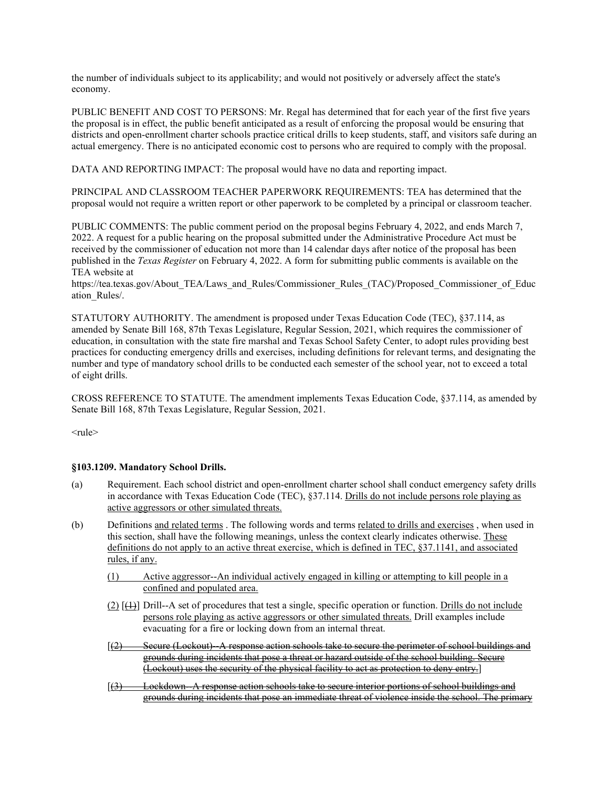the number of individuals subject to its applicability; and would not positively or adversely affect the state's economy.

PUBLIC BENEFIT AND COST TO PERSONS: Mr. Regal has determined that for each year of the first five years the proposal is in effect, the public benefit anticipated as a result of enforcing the proposal would be ensuring that districts and open-enrollment charter schools practice critical drills to keep students, staff, and visitors safe during an actual emergency. There is no anticipated economic cost to persons who are required to comply with the proposal.

DATA AND REPORTING IMPACT: The proposal would have no data and reporting impact.

PRINCIPAL AND CLASSROOM TEACHER PAPERWORK REQUIREMENTS: TEA has determined that the proposal would not require a written report or other paperwork to be completed by a principal or classroom teacher.

PUBLIC COMMENTS: The public comment period on the proposal begins February 4, 2022, and ends March 7, 2022. A request for a public hearing on the proposal submitted under the Administrative Procedure Act must be received by the commissioner of education not more than 14 calendar days after notice of the proposal has been published in the *Texas Register* on February 4, 2022. A form for submitting public comments is available on the TEA website at

https://tea.texas.gov/About\_TEA/Laws\_and\_Rules/Commissioner\_Rules\_(TAC)/Proposed\_Commissioner\_of\_Educ ation\_Rules/.

STATUTORY AUTHORITY. The amendment is proposed under Texas Education Code (TEC), §37.114, as amended by Senate Bill 168, 87th Texas Legislature, Regular Session, 2021, which requires the commissioner of education, in consultation with the state fire marshal and Texas School Safety Center, to adopt rules providing best practices for conducting emergency drills and exercises, including definitions for relevant terms, and designating the number and type of mandatory school drills to be conducted each semester of the school year, not to exceed a total of eight drills.

CROSS REFERENCE TO STATUTE. The amendment implements Texas Education Code, §37.114, as amended by Senate Bill 168, 87th Texas Legislature, Regular Session, 2021.

 $<$ rule $>$ 

## **§103.1209. Mandatory School Drills.**

- (a) Requirement. Each school district and open-enrollment charter school shall conduct emergency safety drills in accordance with Texas Education Code (TEC), §37.114. Drills do not include persons role playing as active aggressors or other simulated threats.
- (b) Definitions and related terms . The following words and terms related to drills and exercises , when used in this section, shall have the following meanings, unless the context clearly indicates otherwise. These definitions do not apply to an active threat exercise, which is defined in TEC, §37.1141, and associated rules, if any.
	- (1) Active aggressor--An individual actively engaged in killing or attempting to kill people in a confined and populated area.
	- $(2)$   $[\frac{11}{12}]$  Drill--A set of procedures that test a single, specific operation or function. Drills do not include persons role playing as active aggressors or other simulated threats. Drill examples include evacuating for a fire or locking down from an internal threat.
	- [(2) Secure (Lockout)--A response action schools take to secure the perimeter of school buildings and grounds during incidents that pose a threat or hazard outside of the school building. Secure (Lockout) uses the security of the physical facility to act as protection to deny entry.]
	- [(3) Lockdown-A response action schools take to secure interior portions of school buildings and grounds during incidents that pose an immediate threat of violence inside the school. The primary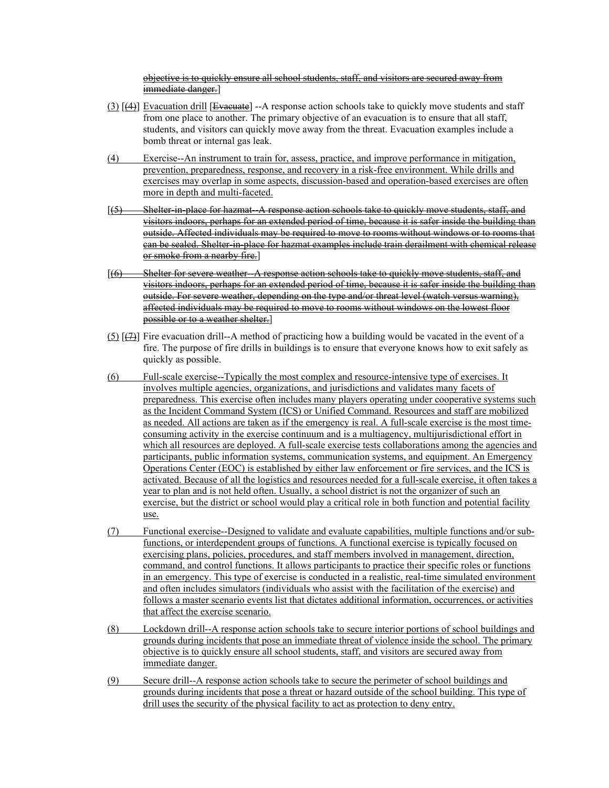objective is to quickly ensure all school students, staff, and visitors are secured away from immediate danger.]

- (3) [(4)] Evacuation drill [Evacuate] --A response action schools take to quickly move students and staff from one place to another. The primary objective of an evacuation is to ensure that all staff, students, and visitors can quickly move away from the threat. Evacuation examples include a bomb threat or internal gas leak.
- (4) Exercise--An instrument to train for, assess, practice, and improve performance in mitigation, prevention, preparedness, response, and recovery in a risk-free environment. While drills and exercises may overlap in some aspects, discussion-based and operation-based exercises are often more in depth and multi-faceted.
- [(5) Shelter-in-place for hazmat--A response action schools take to quickly move students, staff, and visitors indoors, perhaps for an extended period of time, because it is safer inside the building than outside. Affected individuals may be required to move to rooms without windows or to rooms that can be sealed. Shelter-in-place for hazmat examples include train derailment with chemical release or smoke from a nearby fire.]
- $(6)$  Shelter for severe weather-A response action schools take to quickly move students, staff, and visitors indoors, perhaps for an extended period of time, because it is safer inside the building than outside. For severe weather, depending on the type and/or threat level (watch versus warning), affected individuals may be required to move to rooms without windows on the lowest floor possible or to a weather shelter.]
- (5) [(7)] Fire evacuation drill--A method of practicing how a building would be vacated in the event of a fire. The purpose of fire drills in buildings is to ensure that everyone knows how to exit safely as quickly as possible.
- (6) Full-scale exercise--Typically the most complex and resource-intensive type of exercises. It involves multiple agencies, organizations, and jurisdictions and validates many facets of preparedness. This exercise often includes many players operating under cooperative systems such as the Incident Command System (ICS) or Unified Command. Resources and staff are mobilized as needed. All actions are taken as if the emergency is real. A full-scale exercise is the most timeconsuming activity in the exercise continuum and is a multiagency, multijurisdictional effort in which all resources are deployed. A full-scale exercise tests collaborations among the agencies and participants, public information systems, communication systems, and equipment. An Emergency Operations Center (EOC) is established by either law enforcement or fire services, and the ICS is activated. Because of all the logistics and resources needed for a full-scale exercise, it often takes a year to plan and is not held often. Usually, a school district is not the organizer of such an exercise, but the district or school would play a critical role in both function and potential facility use.
- (7) Functional exercise--Designed to validate and evaluate capabilities, multiple functions and/or subfunctions, or interdependent groups of functions. A functional exercise is typically focused on exercising plans, policies, procedures, and staff members involved in management, direction, command, and control functions. It allows participants to practice their specific roles or functions in an emergency. This type of exercise is conducted in a realistic, real-time simulated environment and often includes simulators (individuals who assist with the facilitation of the exercise) and follows a master scenario events list that dictates additional information, occurrences, or activities that affect the exercise scenario.
- (8) Lockdown drill--A response action schools take to secure interior portions of school buildings and grounds during incidents that pose an immediate threat of violence inside the school. The primary objective is to quickly ensure all school students, staff, and visitors are secured away from immediate danger.
- (9) Secure drill--A response action schools take to secure the perimeter of school buildings and grounds during incidents that pose a threat or hazard outside of the school building. This type of drill uses the security of the physical facility to act as protection to deny entry.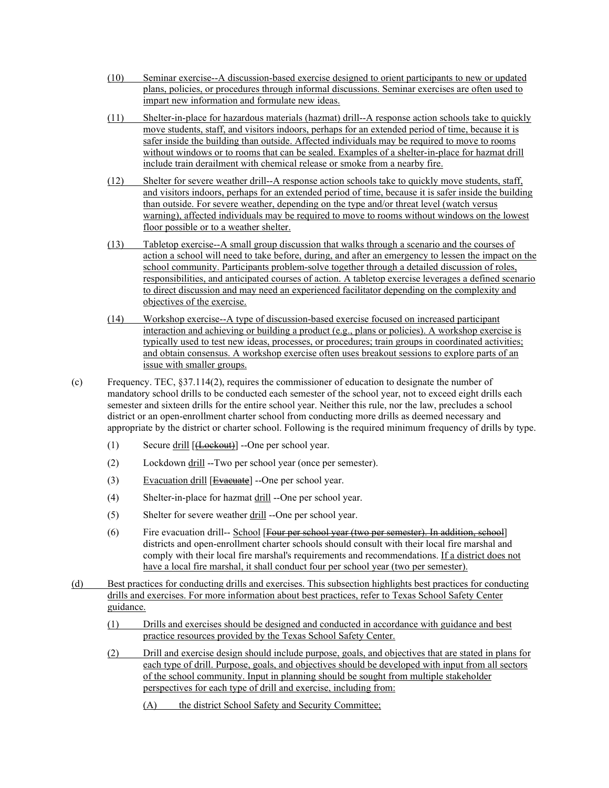- (10) Seminar exercise--A discussion-based exercise designed to orient participants to new or updated plans, policies, or procedures through informal discussions. Seminar exercises are often used to impart new information and formulate new ideas.
- (11) Shelter-in-place for hazardous materials (hazmat) drill--A response action schools take to quickly move students, staff, and visitors indoors, perhaps for an extended period of time, because it is safer inside the building than outside. Affected individuals may be required to move to rooms without windows or to rooms that can be sealed. Examples of a shelter-in-place for hazmat drill include train derailment with chemical release or smoke from a nearby fire.
- (12) Shelter for severe weather drill--A response action schools take to quickly move students, staff, and visitors indoors, perhaps for an extended period of time, because it is safer inside the building than outside. For severe weather, depending on the type and/or threat level (watch versus warning), affected individuals may be required to move to rooms without windows on the lowest floor possible or to a weather shelter.
- (13) Tabletop exercise--A small group discussion that walks through a scenario and the courses of action a school will need to take before, during, and after an emergency to lessen the impact on the school community. Participants problem-solve together through a detailed discussion of roles, responsibilities, and anticipated courses of action. A tabletop exercise leverages a defined scenario to direct discussion and may need an experienced facilitator depending on the complexity and objectives of the exercise.
- (14) Workshop exercise--A type of discussion-based exercise focused on increased participant interaction and achieving or building a product (e.g., plans or policies). A workshop exercise is typically used to test new ideas, processes, or procedures; train groups in coordinated activities; and obtain consensus. A workshop exercise often uses breakout sessions to explore parts of an issue with smaller groups.
- (c) Frequency. TEC, §37.114(2), requires the commissioner of education to designate the number of mandatory school drills to be conducted each semester of the school year, not to exceed eight drills each semester and sixteen drills for the entire school year. Neither this rule, nor the law, precludes a school district or an open-enrollment charter school from conducting more drills as deemed necessary and appropriate by the district or charter school. Following is the required minimum frequency of drills by type.
	- (1) Secure drill [(Lockout)] --One per school year.
	- (2) Lockdown drill --Two per school year (once per semester).
	- $(3)$  Evacuation drill [Evacuate] --One per school year.
	- (4) Shelter-in-place for hazmat  $\frac{drill}{dr}$ --One per school year.
	- (5) Shelter for severe weather drill --One per school year.
	- (6) Fire evacuation drill-- School [Four per school year (two per semester). In addition, school] districts and open-enrollment charter schools should consult with their local fire marshal and comply with their local fire marshal's requirements and recommendations. If a district does not have a local fire marshal, it shall conduct four per school year (two per semester).
- (d) Best practices for conducting drills and exercises. This subsection highlights best practices for conducting drills and exercises. For more information about best practices, refer to Texas School Safety Center guidance.
	- (1) Drills and exercises should be designed and conducted in accordance with guidance and best practice resources provided by the Texas School Safety Center.
	- (2) Drill and exercise design should include purpose, goals, and objectives that are stated in plans for each type of drill. Purpose, goals, and objectives should be developed with input from all sectors of the school community. Input in planning should be sought from multiple stakeholder perspectives for each type of drill and exercise, including from:
		- (A) the district School Safety and Security Committee;